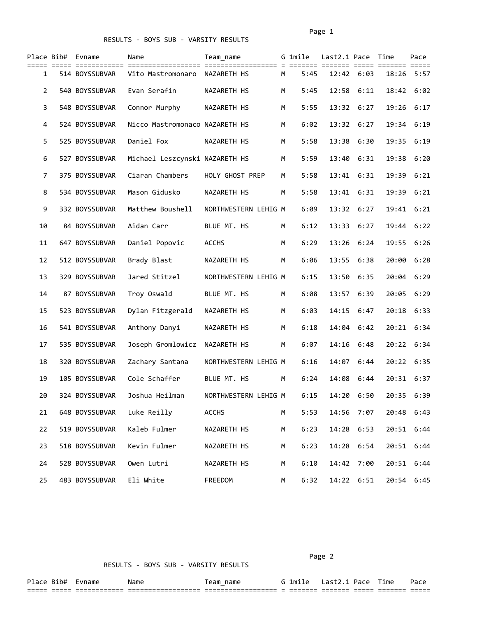|              | Place Bib# Evname | Name                           | Team name            |   | G 1mile<br>==== === | Last2.1 Pace Time |                | ==== ===== ======= ===== | Pace |
|--------------|-------------------|--------------------------------|----------------------|---|---------------------|-------------------|----------------|--------------------------|------|
| 1            | 514 BOYSSUBVAR    | Vito Mastromonaro              | NAZARETH HS          | М | 5:45                | $12:42$ 6:03      |                | 18:26 5:57               |      |
| $\mathbf{2}$ | 540 BOYSSUBVAR    | Evan Serafin                   | NAZARETH HS          | М | 5:45                | 12:58             | 6:11           | 18:42                    | 6:02 |
| 3            | 548 BOYSSUBVAR    | Connor Murphy                  | NAZARETH HS          | М | 5:55                | 13:32             | 6:27           | 19:26                    | 6:17 |
| 4            | 524 BOYSSUBVAR    | Nicco Mastromonaco NAZARETH HS |                      | М | 6:02                | 13:32 6:27        |                | 19:34                    | 6:19 |
| 5.           | 525 BOYSSUBVAR    | Daniel Fox                     | NAZARETH HS          | М | 5:58                | 13:38             | 6:30           | 19:35                    | 6:19 |
| 6            | 527 BOYSSUBVAR    | Michael Leszcynski NAZARETH HS |                      | М | 5:59                | 13:40             | 6:31           | 19:38                    | 6:20 |
| 7            | 375 BOYSSUBVAR    | Ciaran Chambers                | HOLY GHOST PREP      | М | 5:58                | 13:41             | 6:31           | 19:39                    | 6:21 |
| 8            | 534 BOYSSUBVAR    | Mason Gidusko                  | NAZARETH HS          | М | 5:58                | 13:41             | 6:31           | 19:39                    | 6:21 |
| 9            | 332 BOYSSUBVAR    | Matthew Boushell               | NORTHWESTERN LEHIG M |   | 6:09                | 13:32             | 6:27           | 19:41                    | 6:21 |
| 10           | 84 BOYSSUBVAR     | Aidan Carr                     | BLUE MT. HS          | М | 6:12                | 13:33             | 6:27           | 19:44                    | 6:22 |
| 11           | 647 BOYSSUBVAR    | Daniel Popovic                 | <b>ACCHS</b>         | М | 6:29                | 13:26             | 6:24           | 19:55                    | 6:26 |
| 12           | 512 BOYSSUBVAR    | Brady Blast                    | NAZARETH HS          | М | 6:06                |                   | 13:55 6:38     | 20:00                    | 6:28 |
| 13           | 329 BOYSSUBVAR    | Jared Stitzel                  | NORTHWESTERN LEHIG M |   | 6:15                | 13:50             | 6:35           | 20:04                    | 6:29 |
| 14           | 87 BOYSSUBVAR     | Troy Oswald                    | BLUE MT. HS          | М | 6:08                | 13:57             | 6:39           | 20:05                    | 6:29 |
| 15           | 523 BOYSSUBVAR    | Dylan Fitzgerald               | NAZARETH HS          | М | 6:03                | 14:15             | 6:47           | 20:18                    | 6:33 |
| 16           | 541 BOYSSUBVAR    | Anthony Danyi                  | NAZARETH HS          | М | 6:18                | 14:04             | 6:42           | 20:21                    | 6:34 |
| 17           | 535 BOYSSUBVAR    | Joseph Gromlowicz              | NAZARETH HS          | М | 6:07                |                   | $14:16$ $6:48$ | 20:22 6:34               |      |
| 18           | 320 BOYSSUBVAR    | Zachary Santana                | NORTHWESTERN LEHIG M |   | 6:16                | 14:07             | 6:44           | 20:22 6:35               |      |
| 19           | 105 BOYSSUBVAR    | Cole Schaffer                  | BLUE MT. HS          | М | 6:24                | 14:08             | 6:44           | 20:31                    | 6:37 |
| 20           | 324 BOYSSUBVAR    | Joshua Heilman                 | NORTHWESTERN LEHIG M |   | 6:15                | 14:20             | 6:50           | 20:35                    | 6:39 |
| 21           | 648 BOYSSUBVAR    | Luke Reilly                    | ACCHS                | М | 5:53                | 14:56             | 7:07           | 20:48 6:43               |      |
| 22           | 519 BOYSSUBVAR    | Kaleb Fulmer                   | NAZARETH HS          | M | 6:23                |                   | 14:28 6:53     | 20:51                    | 6:44 |
| 23           | 518 BOYSSUBVAR    | Kevin Fulmer                   | NAZARETH HS          | М | 6:23                | 14:28             | 6:54           | 20:51                    | 6:44 |
| 24           | 528 BOYSSUBVAR    | Owen Lutri                     | NAZARETH HS          | М | 6:10                |                   | 14:42 7:00     | 20:51                    | 6:44 |
| 25           | 483 BOYSSUBVAR    | Eli White                      | FREEDOM              | M | 6:32                |                   | 14:22 6:51     | 20:54 6:45               |      |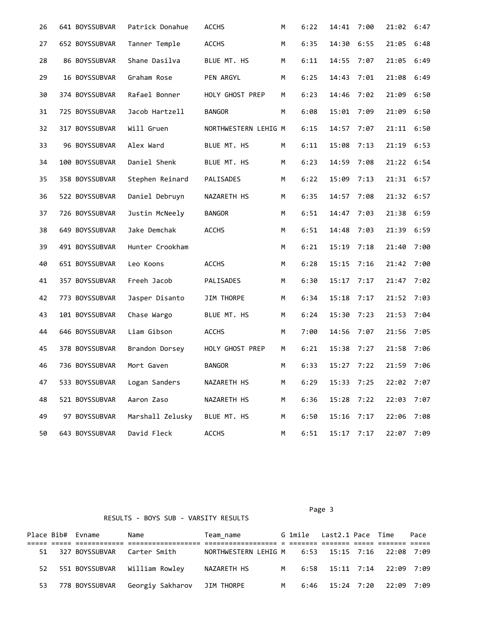| 26 | 641 BOYSSUBVAR | Patrick Donahue  | <b>ACCHS</b>         | М | 6:22 | 14:41        | 7:00 | 21:02      | 6:47 |
|----|----------------|------------------|----------------------|---|------|--------------|------|------------|------|
| 27 | 652 BOYSSUBVAR | Tanner Temple    | <b>ACCHS</b>         | М | 6:35 | 14:30        | 6:55 | 21:05      | 6:48 |
| 28 | 86 BOYSSUBVAR  | Shane Dasilva    | BLUE MT. HS          | М | 6:11 | 14:55        | 7:07 | 21:05      | 6:49 |
| 29 | 16 BOYSSUBVAR  | Graham Rose      | PEN ARGYL            | М | 6:25 | 14:43        | 7:01 | 21:08      | 6:49 |
| 30 | 374 BOYSSUBVAR | Rafael Bonner    | HOLY GHOST PREP      | М | 6:23 | 14:46        | 7:02 | 21:09      | 6:50 |
| 31 | 725 BOYSSUBVAR | Jacob Hartzell   | <b>BANGOR</b>        | М | 6:08 | 15:01        | 7:09 | 21:09      | 6:50 |
| 32 | 317 BOYSSUBVAR | Will Gruen       | NORTHWESTERN LEHIG M |   | 6:15 | 14:57        | 7:07 | 21:11      | 6:50 |
| 33 | 96 BOYSSUBVAR  | Alex Ward        | BLUE MT. HS          | М | 6:11 | 15:08        | 7:13 | 21:19      | 6:53 |
| 34 | 100 BOYSSUBVAR | Daniel Shenk     | BLUE MT. HS          | М | 6:23 | 14:59        | 7:08 | 21:22      | 6:54 |
| 35 | 358 BOYSSUBVAR | Stephen Reinard  | PALISADES            | М | 6:22 | 15:09        | 7:13 | 21:31      | 6:57 |
| 36 | 522 BOYSSUBVAR | Daniel Debruyn   | NAZARETH HS          | М | 6:35 | 14:57 7:08   |      | 21:32 6:57 |      |
| 37 | 726 BOYSSUBVAR | Justin McNeely   | <b>BANGOR</b>        | М | 6:51 | 14:47        | 7:03 | 21:38      | 6:59 |
| 38 | 649 BOYSSUBVAR | Jake Demchak     | <b>ACCHS</b>         | М | 6:51 | 14:48        | 7:03 | 21:39      | 6:59 |
| 39 | 491 BOYSSUBVAR | Hunter Crookham  |                      | М | 6:21 | 15:19        | 7:18 | 21:40      | 7:00 |
| 40 | 651 BOYSSUBVAR | Leo Koons        | <b>ACCHS</b>         | М | 6:28 | 15:15        | 7:16 | 21:42      | 7:00 |
| 41 | 357 BOYSSUBVAR | Freeh Jacob      | PALISADES            | М | 6:30 | 15:17        | 7:17 | 21:47      | 7:02 |
| 42 | 773 BOYSSUBVAR | Jasper Disanto   | JIM THORPE           | М | 6:34 | 15:18        | 7:17 | 21:52      | 7:03 |
| 43 | 101 BOYSSUBVAR | Chase Wargo      | BLUE MT. HS          | М | 6:24 | 15:30        | 7:23 | 21:53      | 7:04 |
| 44 | 646 BOYSSUBVAR | Liam Gibson      | <b>ACCHS</b>         | М | 7:00 | 14:56        | 7:07 | 21:56      | 7:05 |
| 45 | 378 BOYSSUBVAR | Brandon Dorsey   | HOLY GHOST PREP      | М | 6:21 | 15:38        | 7:27 | 21:58      | 7:06 |
| 46 | 736 BOYSSUBVAR | Mort Gaven       | <b>BANGOR</b>        | М | 6:33 | $15:27$ 7:22 |      | 21:59 7:06 |      |
| 47 | 533 BOYSSUBVAR | Logan Sanders    | NAZARETH HS          | М | 6:29 | 15:33        | 7:25 | 22:02 7:07 |      |
| 48 | 521 BOYSSUBVAR | Aaron Zaso       | NAZARETH HS          | М | 6:36 | 15:28        | 7:22 | 22:03      | 7:07 |
| 49 | 97 BOYSSUBVAR  | Marshall Zelusky | BLUE MT. HS          | М | 6:50 | 15:16        | 7:17 | 22:06      | 7:08 |
| 50 | 643 BOYSSUBVAR | David Fleck      | <b>ACCHS</b>         | М | 6:51 | 15:17 7:17   |      | 22:07 7:09 |      |

Page 3 and 2012 and 2012 and 2012 and 2012 and 2012 and 2012 and 2012 and 2012 and 2012 and 2012 and 2012 and

|     | Place Bib# Evname | Name                                         | Team name                                       |  | G 1mile Last2.1 Pace Time    |  | Pace |
|-----|-------------------|----------------------------------------------|-------------------------------------------------|--|------------------------------|--|------|
|     |                   |                                              |                                                 |  |                              |  |      |
|     |                   | 51 327 BOYSSUBVAR Carter Smith               | NORTHWESTERN LEHIG M 6:53 15:15 7:16 22:08 7:09 |  |                              |  |      |
|     |                   | 52 551 BOYSSUBVAR William Rowley             |                                                 |  |                              |  |      |
| 53. |                   | 778 BOYSSUBVAR Georgiy Sakharov   JIM THORPE |                                                 |  | M 6:46 15:24 7:20 22:09 7:09 |  |      |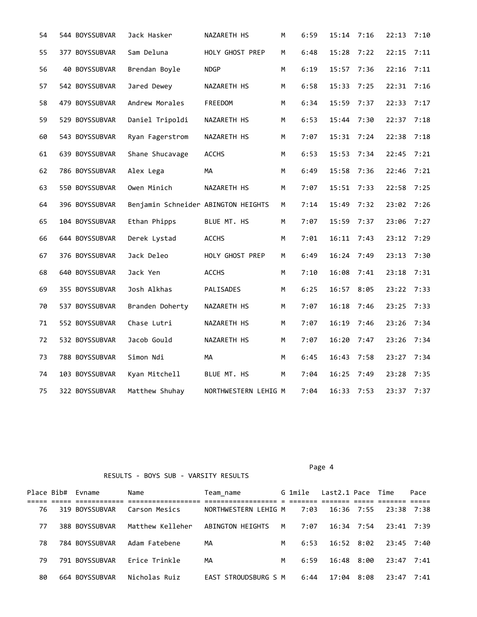| 54 | 544 BOYSSUBVAR | Jack Hasker                         | NAZARETH HS          | М | 6:59 | 15:14      | 7:16 | 22:13      | 7:10 |
|----|----------------|-------------------------------------|----------------------|---|------|------------|------|------------|------|
| 55 | 377 BOYSSUBVAR | Sam Deluna                          | HOLY GHOST PREP      | М | 6:48 | 15:28      | 7:22 | 22:15      | 7:11 |
| 56 | 40 BOYSSUBVAR  | Brendan Boyle                       | <b>NDGP</b>          | М | 6:19 | 15:57      | 7:36 | 22:16      | 7:11 |
| 57 | 542 BOYSSUBVAR | Jared Dewey                         | NAZARETH HS          | М | 6:58 | 15:33      | 7:25 | 22:31 7:16 |      |
| 58 | 479 BOYSSUBVAR | Andrew Morales                      | FREEDOM              | М | 6:34 | 15:59      | 7:37 | 22:33      | 7:17 |
| 59 | 529 BOYSSUBVAR | Daniel Tripoldi                     | NAZARETH HS          | М | 6:53 | 15:44      | 7:30 | 22:37      | 7:18 |
| 60 | 543 BOYSSUBVAR | Ryan Fagerstrom                     | NAZARETH HS          | М | 7:07 | 15:31      | 7:24 | 22:38      | 7:18 |
| 61 | 639 BOYSSUBVAR | Shane Shucavage                     | <b>ACCHS</b>         | М | 6:53 | 15:53      | 7:34 | 22:45 7:21 |      |
| 62 | 786 BOYSSUBVAR | Alex Lega                           | MA                   | М | 6:49 | 15:58      | 7:36 | 22:46      | 7:21 |
| 63 | 550 BOYSSUBVAR | Owen Minich                         | NAZARETH HS          | М | 7:07 | 15:51      | 7:33 | 22:58      | 7:25 |
| 64 | 396 BOYSSUBVAR | Benjamin Schneider ABINGTON HEIGHTS |                      | M | 7:14 | 15:49      | 7:32 | 23:02 7:26 |      |
| 65 | 104 BOYSSUBVAR | Ethan Phipps                        | BLUE MT. HS          | М | 7:07 | 15:59      | 7:37 | 23:06 7:27 |      |
| 66 | 644 BOYSSUBVAR | Derek Lystad                        | <b>ACCHS</b>         | М | 7:01 | 16:11      | 7:43 | 23:12      | 7:29 |
| 67 | 376 BOYSSUBVAR | Jack Deleo                          | HOLY GHOST PREP      | М | 6:49 | 16:24      | 7:49 | 23:13      | 7:30 |
| 68 | 640 BOYSSUBVAR | Jack Yen                            | <b>ACCHS</b>         | М | 7:10 | 16:08      | 7:41 | 23:18      | 7:31 |
| 69 | 355 BOYSSUBVAR | Josh Alkhas                         | PALISADES            | М | 6:25 | 16:57 8:05 |      | 23:22 7:33 |      |
| 70 | 537 BOYSSUBVAR | Branden Doherty                     | NAZARETH HS          | М | 7:07 | 16:18      | 7:46 | 23:25      | 7:33 |
| 71 | 552 BOYSSUBVAR | Chase Lutri                         | NAZARETH HS          | М | 7:07 | 16:19      | 7:46 | 23:26      | 7:34 |
| 72 | 532 BOYSSUBVAR | Jacob Gould                         | NAZARETH HS          | M | 7:07 | 16:20      | 7:47 | 23:26 7:34 |      |
| 73 | 788 BOYSSUBVAR | Simon Ndi                           | МA                   | М | 6:45 | 16:43      | 7:58 | 23:27 7:34 |      |
| 74 | 103 BOYSSUBVAR | Kyan Mitchell                       | BLUE MT. HS          | М | 7:04 | 16:25      | 7:49 | 23:28      | 7:35 |
| 75 | 322 BOYSSUBVAR | Matthew Shuhay                      | NORTHWESTERN LEHIG M |   | 7:04 | 16:33      | 7:53 | 23:37 7:37 |      |

RESULTS - BOYS SUB - VARSITY RESULTS

## Page 4

|     | Place Bib# Evname | Name             | Team name            |   | G 1mile | Last2.1 Pace Time |      |              | Pace |  |
|-----|-------------------|------------------|----------------------|---|---------|-------------------|------|--------------|------|--|
|     |                   |                  |                      |   |         |                   |      |              |      |  |
| 76  | 319 BOYSSUBVAR    | Carson Mesics    | NORTHWESTERN LEHIG M |   | 7:03    | $16:36$ 7:55      |      | 23:38 7:38   |      |  |
| 77  | 388 BOYSSUBVAR    | Matthew Kelleher | ABINGTON HEIGHTS     | M | 7:07    | 16:34 7:54        |      | 23:41 7:39   |      |  |
| 78. | 784 BOYSSUBVAR    | Adam Fatebene    | MА                   | M | 6:53    | 16:52 8:02        |      | 23:45 7:40   |      |  |
| 79  | 791 BOYSSUBVAR    | Erice Trinkle    | MА                   | M | 6:59    | 16:48 8:00        |      | $23:47$ 7:41 |      |  |
| 80  | 664 BOYSSUBVAR    | Nicholas Ruiz    | EAST STROUDSBURG S M |   | 6:44    | 17:04             | 8:08 | $23:47$ 7:41 |      |  |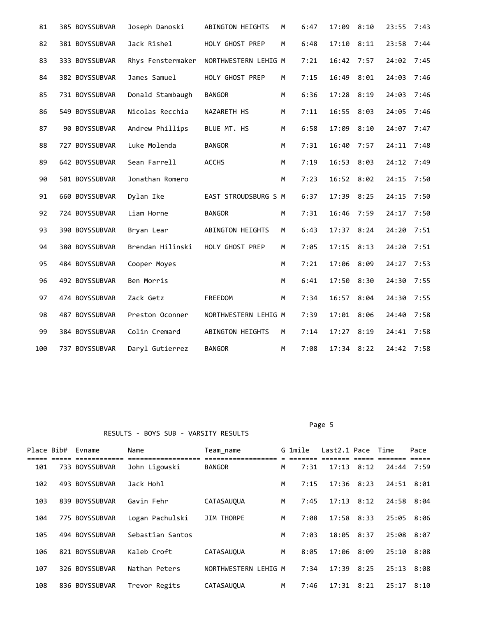| 81  | 385 BOYSSUBVAR | Joseph Danoski    | ABINGTON HEIGHTS     | м | 6:47 | 17:09          | 8:10 | 23:55      | 7:43 |
|-----|----------------|-------------------|----------------------|---|------|----------------|------|------------|------|
| 82  | 381 BOYSSUBVAR | Jack Rishel       | HOLY GHOST PREP      | М | 6:48 | 17:10          | 8:11 | 23:58      | 7:44 |
| 83  | 333 BOYSSUBVAR | Rhys Fenstermaker | NORTHWESTERN LEHIG M |   | 7:21 | 16:42          | 7:57 | 24:02      | 7:45 |
| 84  | 382 BOYSSUBVAR | James Samuel      | HOLY GHOST PREP      | М | 7:15 | 16:49          | 8:01 | 24:03      | 7:46 |
| 85  | 731 BOYSSUBVAR | Donald Stambaugh  | <b>BANGOR</b>        | M | 6:36 | 17:28          | 8:19 | 24:03      | 7:46 |
| 86  | 549 BOYSSUBVAR | Nicolas Recchia   | NAZARETH HS          | M | 7:11 | 16:55 8:03     |      | 24:05      | 7:46 |
| 87  | 90 BOYSSUBVAR  | Andrew Phillips   | BLUE MT. HS          | M | 6:58 | 17:09          | 8:10 | 24:07      | 7:47 |
| 88  | 727 BOYSSUBVAR | Luke Molenda      | <b>BANGOR</b>        | М | 7:31 | 16:40          | 7:57 | 24:11      | 7:48 |
| 89  | 642 BOYSSUBVAR | Sean Farrell      | <b>ACCHS</b>         | М | 7:19 | $16:53$ 8:03   |      | 24:12      | 7:49 |
| 90  | 501 BOYSSUBVAR | Jonathan Romero   |                      | M | 7:23 | 16:52 8:02     |      | 24:15      | 7:50 |
| 91  | 660 BOYSSUBVAR | Dylan Ike         | EAST STROUDSBURG S M |   | 6:37 | 17:39 8:25     |      | 24:15      | 7:50 |
| 92  | 724 BOYSSUBVAR | Liam Horne        | <b>BANGOR</b>        | M | 7:31 | 16:46          | 7:59 | 24:17      | 7:50 |
| 93  | 390 BOYSSUBVAR | Bryan Lear        | ABINGTON HEIGHTS     | М | 6:43 | 17:37          | 8:24 | 24:20      | 7:51 |
| 94  | 380 BOYSSUBVAR | Brendan Hilinski  | HOLY GHOST PREP      | М | 7:05 | 17:15          | 8:13 | 24:20      | 7:51 |
| 95  | 484 BOYSSUBVAR | Cooper Moyes      |                      | M | 7:21 | 17:06          | 8:09 | 24:27      | 7:53 |
| 96  | 492 BOYSSUBVAR | Ben Morris        |                      | M | 6:41 | 17:50          | 8:30 | 24:30      | 7:55 |
| 97  | 474 BOYSSUBVAR | Zack Getz         | FREEDOM              | М | 7:34 | 16:57          | 8:04 | 24:30      | 7:55 |
| 98  | 487 BOYSSUBVAR | Preston Oconner   | NORTHWESTERN LEHIG M |   | 7:39 | 17:01          | 8:06 | 24:40      | 7:58 |
| 99  | 384 BOYSSUBVAR | Colin Cremard     | ABINGTON HEIGHTS     | М | 7:14 | 17:27          | 8:19 | 24:41      | 7:58 |
| 100 | 737 BOYSSUBVAR | Daryl Gutierrez   | <b>BANGOR</b>        | М | 7:08 | $17:34$ $8:22$ |      | 24:42 7:58 |      |

Page 5 and the state of the state of the state of the state of the state of the state of the state of the state of the state of the state of the state of the state of the state of the state of the state of the state of the

| Place Bib# | Evname         | Name             | Team name            |   | G 1mile | Last2.1 Pace   |      | Time  | Pace |
|------------|----------------|------------------|----------------------|---|---------|----------------|------|-------|------|
| 101        | 733 BOYSSUBVAR | John Ligowski    | <b>BANGOR</b>        | М | 7:31    | 17:13          | 8:12 | 24:44 | 7:59 |
| 102        | 493 BOYSSUBVAR | Jack Hohl        |                      | М | 7:15    | 17:36          | 8:23 | 24:51 | 8:01 |
| 103        | 839 BOYSSUBVAR | Gavin Fehr       | <b>CATASAUOUA</b>    | M | 7:45    | 17:13          | 8:12 | 24:58 | 8:04 |
| 104        | 775 BOYSSUBVAR | Logan Pachulski  | JIM THORPE           | М | 7:08    | $17:58$ $8:33$ |      | 25:05 | 8:06 |
| 105        | 494 BOYSSUBVAR | Sebastian Santos |                      | М | 7:03    | 18:05          | 8:37 | 25:08 | 8:07 |
| 106        | 821 BOYSSUBVAR | Kaleb Croft      | <b>CATASAUOUA</b>    | М | 8:05    | 17:06          | 8:09 | 25:10 | 8:08 |
| 107        | 326 BOYSSUBVAR | Nathan Peters    | NORTHWESTERN LEHIG M |   | 7:34    | 17:39          | 8:25 | 25:13 | 8:08 |
| 108        | 836 BOYSSUBVAR | Trevor Regits    | CATASAUQUA           | M | 7:46    | 17:31          | 8:21 | 25:17 | 8:10 |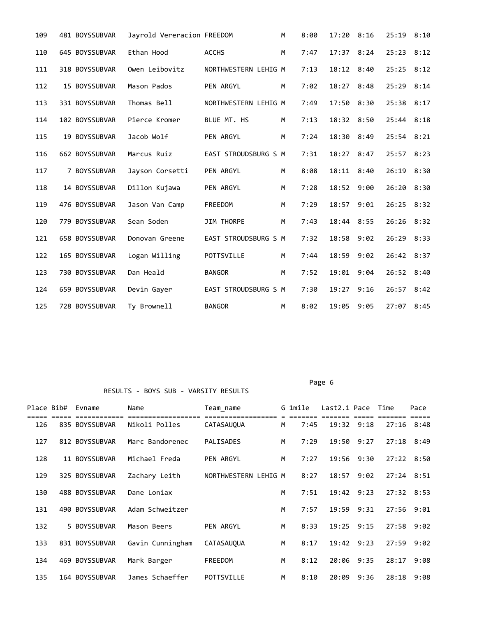| 109 | 481 BOYSSUBVAR | Jayrold Vereracion FREEDOM |                      | М | 8:00 | 17:20          | 8:16 | 25:19 8:10   |      |
|-----|----------------|----------------------------|----------------------|---|------|----------------|------|--------------|------|
| 110 | 645 BOYSSUBVAR | Ethan Hood                 | <b>ACCHS</b>         | M | 7:47 | $17:37$ $8:24$ |      | $25:23$ 8:12 |      |
| 111 | 318 BOYSSUBVAR | Owen Leibovitz             | NORTHWESTERN LEHIG M |   | 7:13 | 18:12 8:40     |      | $25:25$ 8:12 |      |
| 112 | 15 BOYSSUBVAR  | Mason Pados                | PEN ARGYL            | M | 7:02 | 18:27          | 8:48 | 25:29        | 8:14 |
| 113 | 331 BOYSSUBVAR | Thomas Bell                | NORTHWESTERN LEHIG M |   | 7:49 | $17:50$ $8:30$ |      | 25:38 8:17   |      |
| 114 | 102 BOYSSUBVAR | Pierce Kromer              | BLUE MT. HS          | M | 7:13 | 18:32 8:50     |      | $25:44$ 8:18 |      |
| 115 | 19 BOYSSUBVAR  | Jacob Wolf                 | PEN ARGYL            | M | 7:24 | 18:30          | 8:49 | $25:54$ 8:21 |      |
| 116 | 662 BOYSSUBVAR | Marcus Ruiz                | EAST STROUDSBURG S M |   | 7:31 | 18:27          | 8:47 | 25:57        | 8:23 |
| 117 | 7 BOYSSUBVAR   | Jayson Corsetti            | PEN ARGYL            | M | 8:08 | 18:11          | 8:40 | 26:19        | 8:30 |
| 118 | 14 BOYSSUBVAR  | Dillon Kujawa              | PEN ARGYL            | M | 7:28 | 18:52 9:00     |      | 26:20        | 8:30 |
| 119 | 476 BOYSSUBVAR | Jason Van Camp             | FREEDOM              | M | 7:29 | 18:57          | 9:01 | 26:25        | 8:32 |
| 120 | 779 BOYSSUBVAR | Sean Soden                 | <b>JIM THORPE</b>    | M | 7:43 | 18:44          | 8:55 | 26:26        | 8:32 |
| 121 | 658 BOYSSUBVAR | Donovan Greene             | EAST STROUDSBURG S M |   | 7:32 | 18:58          | 9:02 | 26:29        | 8:33 |
| 122 | 165 BOYSSUBVAR | Logan Willing              | POTTSVILLE           | M | 7:44 | 18:59          | 9:02 | 26:42 8:37   |      |
| 123 | 730 BOYSSUBVAR | Dan Heald                  | <b>BANGOR</b>        | M | 7:52 | 19:01          | 9:04 | 26:52        | 8:40 |
| 124 | 659 BOYSSUBVAR | Devin Gayer                | EAST STROUDSBURG S M |   | 7:30 | 19:27          | 9:16 | 26:57        | 8:42 |
| 125 | 728 BOYSSUBVAR | Ty Brownell                | <b>BANGOR</b>        | M | 8:02 | 19:05          | 9:05 | 27:07        | 8:45 |

RESULTS - BOYS SUB - VARSITY RESULTS

Page 6 and the contract of the contract of the contract of the contract of the contract of the contract of the contract of the contract of the contract of the contract of the contract of the contract of the contract of the

| Place Bib# | Evname<br>----------- | Name             | Team name            |   | G 1mile<br>======= | Last2.1 Pace   | ==== | Time         | Pace |  |
|------------|-----------------------|------------------|----------------------|---|--------------------|----------------|------|--------------|------|--|
| 126        | 835 BOYSSUBVAR        | Nikoli Polles    | <b>CATASAUOUA</b>    | M | 7:45               | 19:32 9:18     |      | $27:16$ 8:48 |      |  |
| 127        | 812 BOYSSUBVAR        | Marc Bandorenec  | PALISADES            | M | 7:29               | 19:50          | 9:27 | $27:18$ 8:49 |      |  |
| 128        | 11 BOYSSUBVAR         | Michael Freda    | PEN ARGYL            | M | 7:27               | 19:56          | 9:30 | $27:22$ 8:50 |      |  |
| 129        | 325 BOYSSUBVAR        | Zachary Leith    | NORTHWESTERN LEHIG M |   | 8:27               | 18:57          | 9:02 | $27:24$ 8:51 |      |  |
| 130        | 488 BOYSSUBVAR        | Dane Loniax      |                      | M | 7:51               | 19:42 9:23     |      | $27:32$ 8:53 |      |  |
| 131        | 490 BOYSSUBVAR        | Adam Schweitzer  |                      | М | 7:57               | 19:59          | 9:31 | 27:56 9:01   |      |  |
| 132        | 5 BOYSSUBVAR          | Mason Beers      | <b>PEN ARGYL</b>     | М | 8:33               | $19:25$ $9:15$ |      | $27:58$ 9:02 |      |  |
| 133        | 831 BOYSSUBVAR        | Gavin Cunningham | <b>CATASAUOUA</b>    | M | 8:17               | 19:42 9:23     |      | 27:59        | 9:02 |  |
| 134        | 469 BOYSSUBVAR        | Mark Barger      | FREEDOM              | М | 8:12               | 20:06          | 9:35 | 28:17        | 9:08 |  |
| 135        | 164 BOYSSUBVAR        | James Schaeffer  | POTTSVILLE           | М | 8:10               | 20:09          | 9:36 | 28:18        | 9:08 |  |